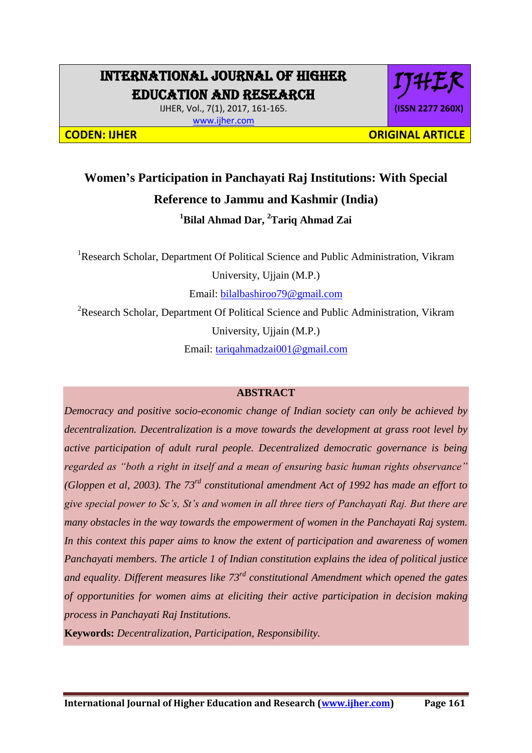## INTERNATIONAL JOURNAL OF HIGHER EDUCATION AND RESEARCH

IJHER, Vol., 7(1), 2017, 161-165. [www.ijher.com](http://www.ijher.com/)

IJHER **(ISSN 2277 260X)**

**CODEN: IJHER ORIGINAL ARTICLE** 

# **Women's Participation in Panchayati Raj Institutions: With Special Reference to Jammu and Kashmir (India) <sup>1</sup>Bilal Ahmad Dar, <sup>2</sup>Tariq Ahmad Zai**

<sup>1</sup>Research Scholar, Department Of Political Science and Public Administration, Vikram University, Ujjain (M.P.)

Email: [bilalbashiroo79@gmail.com](mailto:bilalbashiroo79@gmail.com)

<sup>2</sup>Research Scholar, Department Of Political Science and Public Administration, Vikram University, Ujjain (M.P.)

Email: [tariqahmadzai001@gmail.com](mailto:tariqahmadzai001@gmail.com)

## **ABSTRACT**

*Democracy and positive socio-economic change of Indian society can only be achieved by decentralization. Decentralization is a move towards the development at grass root level by active participation of adult rural people. Decentralized democratic governance is being regarded as "both a right in itself and a mean of ensuring basic human rights observance" (Gloppen et al, 2003). The 73<sup>rd</sup> constitutional amendment Act of 1992 has made an effort to give special power to Sc's, St's and women in all three tiers of Panchayati Raj. But there are many obstacles in the way towards the empowerment of women in the Panchayati Raj system. In this context this paper aims to know the extent of participation and awareness of women Panchayati members. The article 1 of Indian constitution explains the idea of political justice and equality. Different measures like 73rd constitutional Amendment which opened the gates of opportunities for women aims at eliciting their active participation in decision making process in Panchayati Raj Institutions.*

**Keywords:** *Decentralization, Participation, Responsibility.*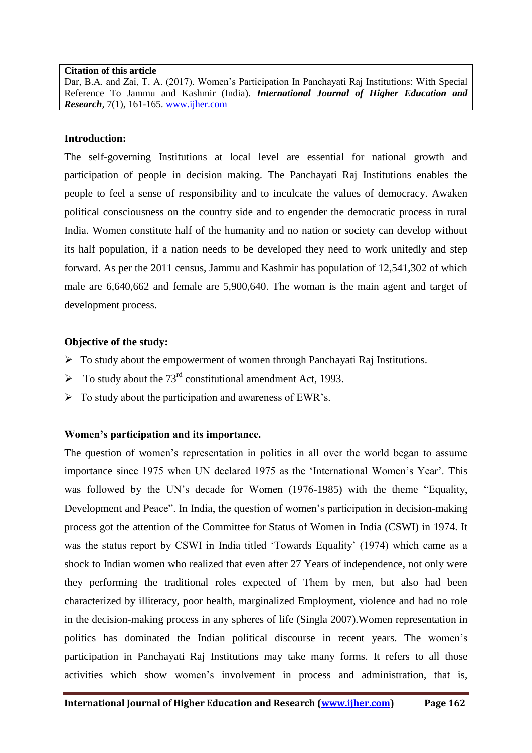#### **Citation of this article**

Dar, B.A. and Zai, T. A. (2017). Women's Participation In Panchayati Raj Institutions: With Special Reference To Jammu and Kashmir (India). *International Journal of Higher Education and Research,* 7(1), 161-165. [www.ijher.com](http://www.ijher.com/)

### **Introduction:**

The self-governing Institutions at local level are essential for national growth and participation of people in decision making. The Panchayati Raj Institutions enables the people to feel a sense of responsibility and to inculcate the values of democracy. Awaken political consciousness on the country side and to engender the democratic process in rural India. Women constitute half of the humanity and no nation or society can develop without its half population, if a nation needs to be developed they need to work unitedly and step forward. As per the 2011 census, Jammu and Kashmir has population of 12,541,302 of which male are 6,640,662 and female are 5,900,640. The woman is the main agent and target of development process.

## **Objective of the study:**

- $\triangleright$  To study about the empowerment of women through Panchayati Raj Institutions.
- $\triangleright$  To study about the 73<sup>rd</sup> constitutional amendment Act, 1993.
- $\triangleright$  To study about the participation and awareness of EWR's.

## **Women's participation and its importance.**

The question of women's representation in politics in all over the world began to assume importance since 1975 when UN declared 1975 as the 'International Women's Year'. This was followed by the UN's decade for Women (1976-1985) with the theme "Equality, Development and Peace". In India, the question of women's participation in decision-making process got the attention of the Committee for Status of Women in India (CSWI) in 1974. It was the status report by CSWI in India titled 'Towards Equality' (1974) which came as a shock to Indian women who realized that even after 27 Years of independence, not only were they performing the traditional roles expected of Them by men, but also had been characterized by illiteracy, poor health, marginalized Employment, violence and had no role in the decision-making process in any spheres of life (Singla 2007).Women representation in politics has dominated the Indian political discourse in recent years. The women's participation in Panchayati Raj Institutions may take many forms. It refers to all those activities which show women's involvement in process and administration, that is,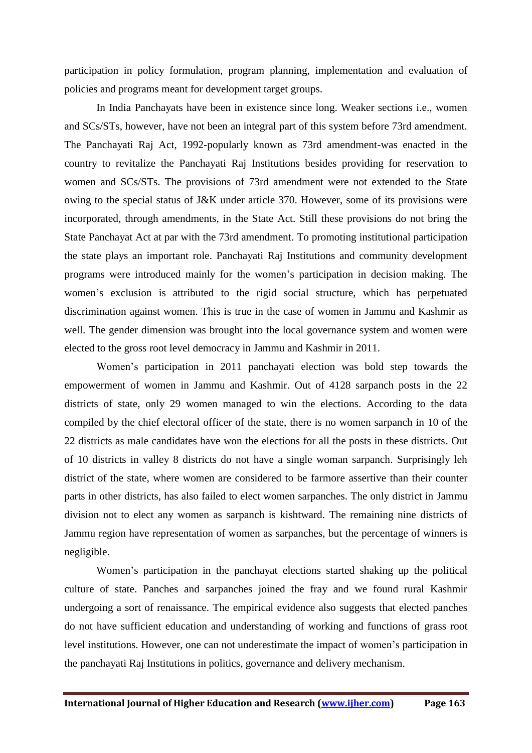participation in policy formulation, program planning, implementation and evaluation of policies and programs meant for development target groups.

In India Panchayats have been in existence since long. Weaker sections i.e., women and SCs/STs, however, have not been an integral part of this system before 73rd amendment. The Panchayati Raj Act, 1992-popularly known as 73rd amendment-was enacted in the country to revitalize the Panchayati Raj Institutions besides providing for reservation to women and SCs/STs. The provisions of 73rd amendment were not extended to the State owing to the special status of J&K under article 370. However, some of its provisions were incorporated, through amendments, in the State Act. Still these provisions do not bring the State Panchayat Act at par with the 73rd amendment. To promoting institutional participation the state plays an important role. Panchayati Raj Institutions and community development programs were introduced mainly for the women's participation in decision making. The women's exclusion is attributed to the rigid social structure, which has perpetuated discrimination against women. This is true in the case of women in Jammu and Kashmir as well. The gender dimension was brought into the local governance system and women were elected to the gross root level democracy in Jammu and Kashmir in 2011.

Women's participation in 2011 panchayati election was bold step towards the empowerment of women in Jammu and Kashmir. Out of 4128 sarpanch posts in the 22 districts of state, only 29 women managed to win the elections. According to the data compiled by the chief electoral officer of the state, there is no women sarpanch in 10 of the 22 districts as male candidates have won the elections for all the posts in these districts. Out of 10 districts in valley 8 districts do not have a single woman sarpanch. Surprisingly leh district of the state, where women are considered to be farmore assertive than their counter parts in other districts, has also failed to elect women sarpanches. The only district in Jammu division not to elect any women as sarpanch is kishtward. The remaining nine districts of Jammu region have representation of women as sarpanches, but the percentage of winners is negligible.

Women's participation in the panchayat elections started shaking up the political culture of state. Panches and sarpanches joined the fray and we found rural Kashmir undergoing a sort of renaissance. The empirical evidence also suggests that elected panches do not have sufficient education and understanding of working and functions of grass root level institutions. However, one can not underestimate the impact of women's participation in the panchayati Raj Institutions in politics, governance and delivery mechanism.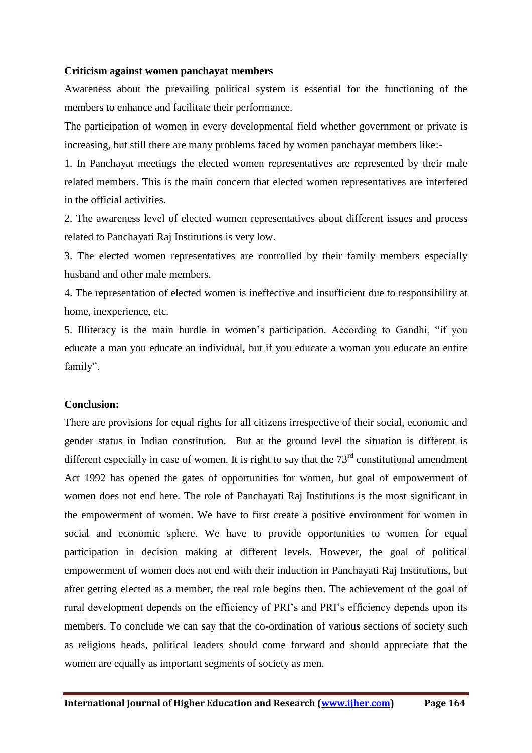#### **Criticism against women panchayat members**

Awareness about the prevailing political system is essential for the functioning of the members to enhance and facilitate their performance.

The participation of women in every developmental field whether government or private is increasing, but still there are many problems faced by women panchayat members like:-

1. In Panchayat meetings the elected women representatives are represented by their male related members. This is the main concern that elected women representatives are interfered in the official activities.

2. The awareness level of elected women representatives about different issues and process related to Panchayati Raj Institutions is very low.

3. The elected women representatives are controlled by their family members especially husband and other male members.

4. The representation of elected women is ineffective and insufficient due to responsibility at home, inexperience, etc.

5. Illiteracy is the main hurdle in women's participation. According to Gandhi, "if you educate a man you educate an individual, but if you educate a woman you educate an entire family".

#### **Conclusion:**

There are provisions for equal rights for all citizens irrespective of their social, economic and gender status in Indian constitution. But at the ground level the situation is different is different especially in case of women. It is right to say that the  $73<sup>rd</sup>$  constitutional amendment Act 1992 has opened the gates of opportunities for women, but goal of empowerment of women does not end here. The role of Panchayati Raj Institutions is the most significant in the empowerment of women. We have to first create a positive environment for women in social and economic sphere. We have to provide opportunities to women for equal participation in decision making at different levels. However, the goal of political empowerment of women does not end with their induction in Panchayati Raj Institutions, but after getting elected as a member, the real role begins then. The achievement of the goal of rural development depends on the efficiency of PRI's and PRI's efficiency depends upon its members. To conclude we can say that the co-ordination of various sections of society such as religious heads, political leaders should come forward and should appreciate that the women are equally as important segments of society as men.